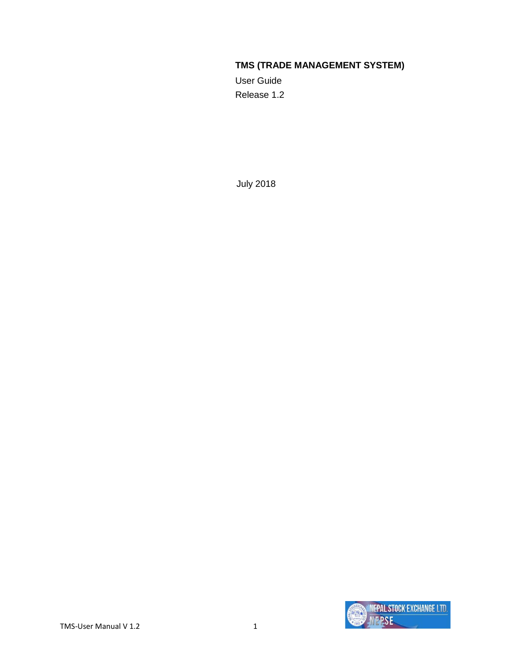#### **TMS (TRADE MANAGEMENT SYSTEM)**

User Guide Release 1.2

July 2018

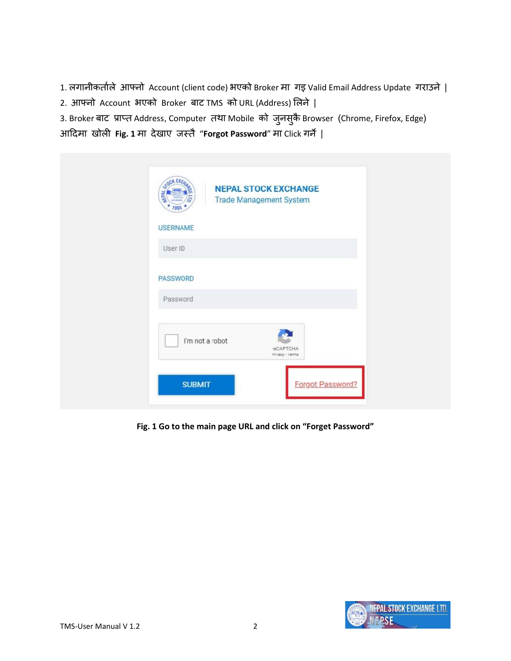- 1. लगानीकर्ााले आफ्नो Account (client code) भएको Broker मा गइ Valid Email Address Update गराउने |
- 2. आफ्नो Account भएको Broker बाट TMS को URL (Address) ललने |

3. Broker बाट) प्राप्त Address, Computer तथा Mobile को जुनसुकै Browser (Chrome, Firefox, Edge)

आदिमा खोली **Fig. 1** मा िेखाए जस्र्ै"**Forgot Password**" मा Click गने|

| OCK EXC.<br><b>MEPAL</b><br>7993 | <b>NEPAL STOCK EXCHANGE</b><br><b>Trade Management System</b> |
|----------------------------------|---------------------------------------------------------------|
| <b>USERNAME</b>                  |                                                               |
| User ID                          |                                                               |
| PASSWORD                         |                                                               |
| Password                         |                                                               |
|                                  | I'm not a robot<br>reCAPTCHA<br>Privacy - Terms               |
|                                  | <b>SUBMIT</b><br>Forgot Password?                             |

**Fig. 1 Go to the main page URL and click on "Forget Password"**

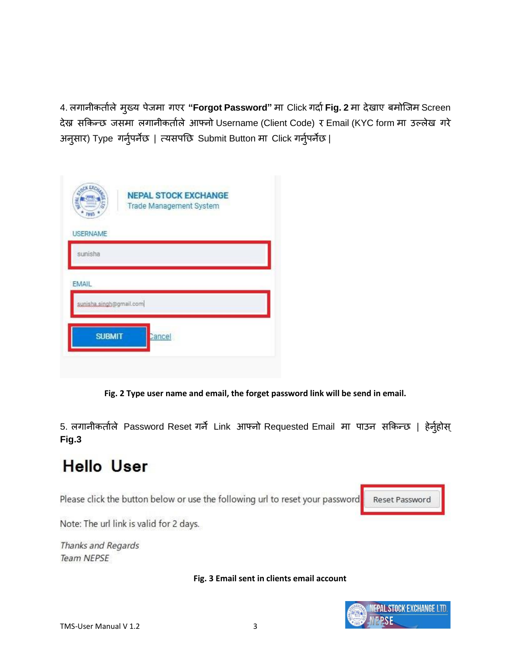4. लगानीकर्ताले मुख्य पेजमा गएर "**Forgot Password"** मा Click गर्दा **Fig. 2** मा देखाए बमोजिम Screen िेख्न सककन्छ जसमा लगानीकर्ााले आफ्नो Username (Client Code) र Email (KYC form मा उल्लेख गरे अनुसार) Type गर्नुपर्नेछ | त्यसपछि Submit Button मा Click गर्नुपर्नेछ |

| <b>ATOCK EXCA</b><br>7993 | <b>NEPAL STOCK EXCHANGE</b><br><b>Trade Management System</b> |  |
|---------------------------|---------------------------------------------------------------|--|
| <b>USERNAME</b>           |                                                               |  |
| sunisha                   |                                                               |  |
| <b>EMAIL</b>              |                                                               |  |
| sunisha.singh@gmail.com   |                                                               |  |
| <b>SUBMIT</b>             | Cancel                                                        |  |
|                           |                                                               |  |

**Fig. 2 Type user name and email, the forget password link will be send in email.**

5. लगानीकर्ताले Password Reset गर्ने Link आफ्नो Requested Email मा पाउन सकिन्छ | हेर्नुहोस् **Fig.3**

# **Hello User**

Please click the button below or use the following url to reset your password

Reset Password

Note: The url link is valid for 2 days.

Thanks and Regards **Team NEPSE** 

**Fig. 3 Email sent in clients email account**

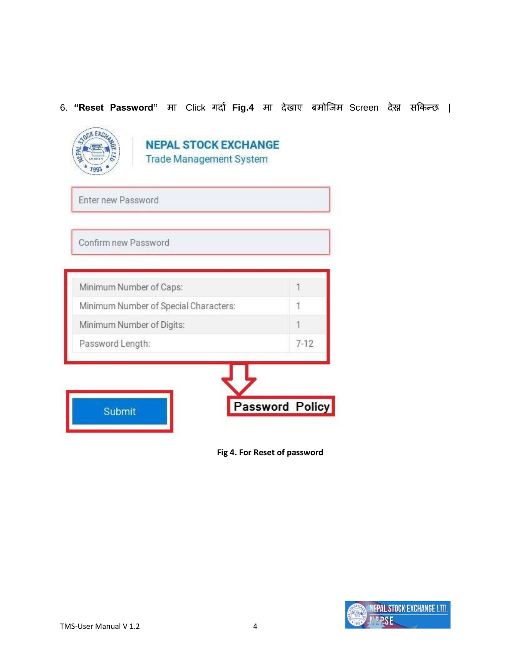#### 6. **"Reset Password"** मा Click गर्दा Fig.4 मा देखाए बमोजिम Screen देख्न सकिन्छ |



#### **NEPAL STOCK EXCHANGE Trade Management System**

Enter new Password

Confirm new Password

| Password Length: |  | $7 - 12$ |
|------------------|--|----------|
|------------------|--|----------|

**Fig 4. For Reset of password**

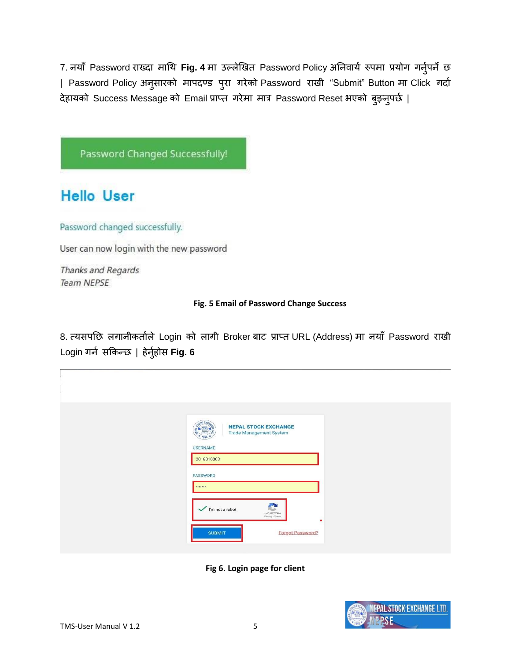7. नयाँ Password राख्दा माथि Fig. 4 मा उल्लेखित Password Policy अनिवार्य रुपमा प्रयोग गर्नुपर्ने छ | Password Policy अनुसारको मापदण्ड पुरा गरेको Password राखी "Submit" Button मा Click गर्दा देहायको Success Message को Email प्राप्त गरेमा मात्र Password Reset भएको बुझ्नुपर्छ |

Password Changed Successfully!

## **Hello User**

Password changed successfully.

User can now login with the new password

Thanks and Regards **Team NEPSE** 

#### **Fig. 5 Email of Password Change Success**

8. त्यसपछि लगानीकर्ताले Login को लागी Broker बाट प्राप्त URL (Address) मा नयाँ Password राखी Login गर्न सकिन्छ | हेर्नुहोस **Fig. 6** 

| <b>NEPAL STOCK EXCHANGE</b>                                            |  |
|------------------------------------------------------------------------|--|
|                                                                        |  |
| <b>Trade Management System</b><br><b>USERNAME</b>                      |  |
| 2018010003<br>PASSWORD                                                 |  |
| <b>BREAKER</b><br>C<br>$\checkmark$ I'm not a robot                    |  |
| reCAPTCHA<br>Privacy - Terms<br>٠<br>Forgot Password?<br><b>SUBMIT</b> |  |



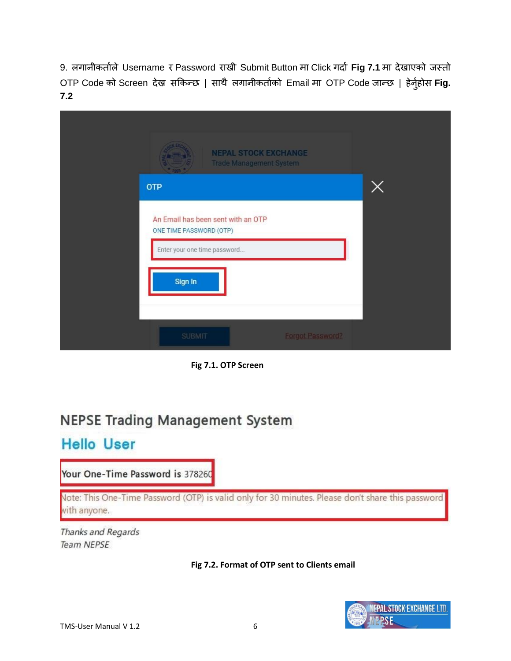9. लगानीकर्ताले Username र Password राखी Submit Button मा Click गर्दा Fig 7.1 मा देखाएको जस्तो OTP Code को Screen देख्न सकिन्छ | साथै लगानीकर्ताको Email मा OTP Code जान्छ | हेर्नुहोस Fig. **7.2**

| <b>NEPAL STOCK EXCHANGE</b><br><b>Trade Management System</b>                                            |          |
|----------------------------------------------------------------------------------------------------------|----------|
| <b>OTP</b>                                                                                               | $\times$ |
| An Email has been sent with an OTP<br>ONE TIME PASSWORD (OTP)<br>Enter your one time password<br>Sign In |          |
| <b>SUBMIT</b><br><b>Forgot Password?</b>                                                                 |          |

**Fig 7.1. OTP Screen**

## **NEPSE Trading Management System**

## **Hello User**

Your One-Time Password is 378260

Note: This One-Time Password (OTP) is valid only for 30 minutes. Please don't share this password with anyone.

Thanks and Regards **Team NEPSE** 



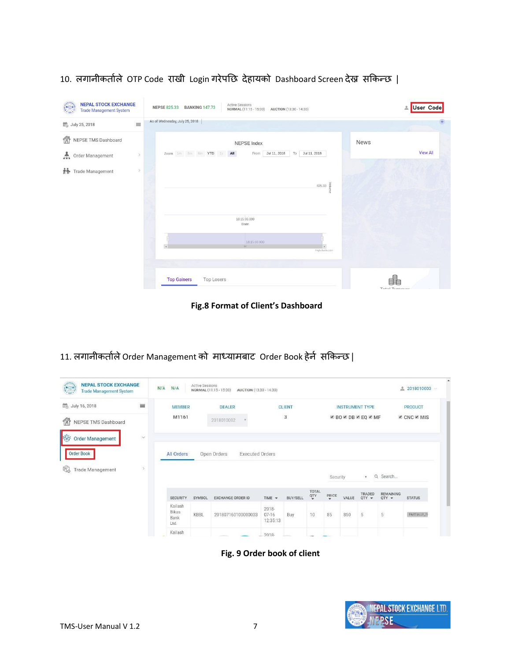| <b>NEPAL STOCK EXCHANGE</b><br><b>Trade Management System</b> | <b>Active Sessions</b><br><b>NEPSE 825.33</b><br><b>BANKING 147.73</b><br>AUCTION (13:30 - 14:30)<br>NORMAL (11:15 - 15:00) | User Code<br>≗      |
|---------------------------------------------------------------|-----------------------------------------------------------------------------------------------------------------------------|---------------------|
| $\equiv$<br><b>B</b> July 25, 2018                            | As of Wednesday, July 25, 2018                                                                                              | $+$                 |
| ⋒<br>NEPSE TMS Dashboard                                      | News<br>NEPSE Index                                                                                                         |                     |
| Order Management<br>$\rightarrow$                             | Jul 11, 2018<br>Zoom 1m 3m 6m YTD 1y All<br>Jul 11, 2018<br>From<br>To                                                      | <b>View All</b>     |
| 朴<br>$\mathcal{S}$<br>Trade Management                        |                                                                                                                             |                     |
|                                                               | $825.33 \begin{array}{l} \leq \\ \equiv \\ \equiv \\ \equiv \\ \equiv \end{array}$                                          |                     |
|                                                               |                                                                                                                             |                     |
|                                                               | 18:15:00.000<br>Date                                                                                                        |                     |
|                                                               | 18:15:00.000                                                                                                                |                     |
|                                                               | $\blacktriangleleft$<br>111<br>Highcharts.com                                                                               |                     |
|                                                               |                                                                                                                             |                     |
|                                                               | <b>Top Gainers</b><br><b>Top Losers</b>                                                                                     | 手<br>Total Turnovar |

10. लगानीकर्ताले OTP Code राखी Login गरेपछि देहायको Dashboard Screen देख्न सकिन्छ |

**Fig.8 Format of Client's Dashboard**

11. लगानीकर्ताले Order Management को माध्यामबाट Order Book हेर्न सकिन्छ |

| <b>NEPAL STOCK EXCHANGE</b><br><b>Company</b><br><b>Trade Management System</b> |          | N/A<br>N/A                       | <b>Active Sessions</b> | NORMAL (11:15 - 15:00)<br>AUCTION (13:30 - 14:30) |                                |                 |                                         |                                                    |       |                        |                             | 2018010003<br>$\frac{9}{20}$ |
|---------------------------------------------------------------------------------|----------|----------------------------------|------------------------|---------------------------------------------------|--------------------------------|-----------------|-----------------------------------------|----------------------------------------------------|-------|------------------------|-----------------------------|------------------------------|
| <b>B</b> July 16, 2018                                                          | $\equiv$ | <b>MEMBER</b>                    |                        | <b>DEALER</b>                                     |                                | <b>CLIENT</b>   |                                         |                                                    |       | <b>INSTRUMENT TYPE</b> |                             | <b>PRODUCT</b>               |
| 龠<br>NEPSE TMS Dashboard                                                        |          | M1161                            |                        | 2018010002                                        |                                | 3               |                                         |                                                    |       | <b>ØBOØDBØEQØMF</b>    |                             | <b>E</b> CNC ■ MIS           |
| I<br><b>Order Management</b>                                                    | $\sim$   |                                  |                        |                                                   |                                |                 |                                         |                                                    |       |                        |                             |                              |
| Order Book                                                                      |          | All Orders                       |                        | Open Orders<br><b>Executed Orders</b>             |                                |                 |                                         |                                                    |       |                        |                             |                              |
| q.<br><b>Trade Management</b>                                                   | $\,$     |                                  |                        |                                                   |                                |                 |                                         | Security                                           |       | $\mathbf{v}$           | Q Search                    |                              |
|                                                                                 |          | <b>SECURITY</b>                  | SYMBOL                 | <b>EXCHANGE ORDER ID</b>                          | TIME +                         | <b>BUY/SELL</b> | TOTAL<br>$\frac{Q}{\blacktriangledown}$ | $\ensuremath{\mathop{\text{PRICE}}\limits_{\Psi}}$ | VALUE | TRADED<br>$QTY =$      | <b>REMAINING</b><br>$QTY =$ | <b>STATUS</b>                |
|                                                                                 |          | Kailash<br>Bikas<br>Bank<br>Ltd. | KBBL                   | 201807160100000003                                | 2018-<br>$07 - 16$<br>12:35:13 | Buy             | 10                                      | 85                                                 | 850   | $\sqrt{5}$             | 5                           | PARTIALLY_TF                 |
|                                                                                 |          | Kailash                          |                        |                                                   | 2018-                          |                 |                                         |                                                    |       |                        |                             |                              |

**Fig. 9 Order book of client**